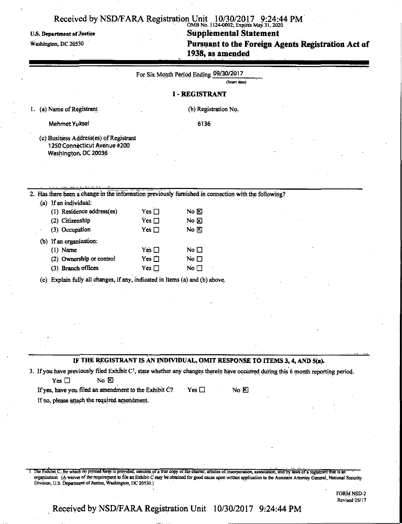### $O(ND NU, 1124-0002,$  Expires May 31, 2020 U.S. Department of Justice **Supplemental Statement <br>
Washington, DC 20530 Pursuant to the Foreign A** Pursuant to the Foreign Agents Registration Act of 1938, as amended

|  |  |  |  | 1938, as amended |  |
|--|--|--|--|------------------|--|
|  |  |  |  |                  |  |

|                                                                                                      |               | For Six Month Period Ending 09/30/2017<br>(Insert date) |                                                                                                                                                |
|------------------------------------------------------------------------------------------------------|---------------|---------------------------------------------------------|------------------------------------------------------------------------------------------------------------------------------------------------|
|                                                                                                      |               | <b>I - REGISTRANT</b>                                   |                                                                                                                                                |
| (a) Name of Registrant                                                                               |               | (b) Registration No.                                    |                                                                                                                                                |
| <b>Mehmet Yuksel</b>                                                                                 |               | 6136                                                    |                                                                                                                                                |
| (c) Business Address(es) of Registrant<br>1250 Connecticut Avenue #200<br>Washington, DC 20036       |               |                                                         |                                                                                                                                                |
|                                                                                                      |               |                                                         |                                                                                                                                                |
| 2. Has there been a change in the information previously furnished in connection with the following? |               |                                                         |                                                                                                                                                |
| (a) If an individual:                                                                                |               |                                                         |                                                                                                                                                |
| (1) Residence address(es)                                                                            | Yes $\square$ | No $\boxtimes$                                          |                                                                                                                                                |
| (2) Citizenship                                                                                      | $Yes$ $\Box$  | No $\boxtimes$                                          |                                                                                                                                                |
| (3) Occupation                                                                                       | Yes $\square$ | No $\boxtimes$                                          |                                                                                                                                                |
| (b) If an organization:                                                                              |               |                                                         |                                                                                                                                                |
| $(1)$ Näme                                                                                           | Yes $\square$ | No $\square$                                            |                                                                                                                                                |
| (2) Ownership or control                                                                             | Yes $\square$ | No $\square$                                            |                                                                                                                                                |
| (3) Branch offices                                                                                   | Yes $\square$ | No $\square$                                            |                                                                                                                                                |
| (c) Explain fully all changes, if any, indicated in Items (a) and (b) above.                         |               |                                                         |                                                                                                                                                |
|                                                                                                      |               |                                                         |                                                                                                                                                |
|                                                                                                      |               |                                                         |                                                                                                                                                |
|                                                                                                      |               |                                                         |                                                                                                                                                |
|                                                                                                      |               |                                                         |                                                                                                                                                |
|                                                                                                      |               |                                                         |                                                                                                                                                |
|                                                                                                      |               |                                                         |                                                                                                                                                |
|                                                                                                      |               |                                                         |                                                                                                                                                |
|                                                                                                      |               |                                                         | IF THE REGISTRANT IS AN INDIVIDUAL, OMIT RESPONSE TO ITEMS 3, 4, AND 5(a).                                                                     |
|                                                                                                      |               |                                                         | 3. If you have previously filed Exhibit C <sup>1</sup> , state whether any changes therein have occurred during this 6 month reporting period. |
| Yes $\Box$<br>No $\Sigma$                                                                            |               |                                                         |                                                                                                                                                |
| If yes, have you filed an amendment to the Exhibit C?                                                |               | Yes $\square$<br>No $E$                                 |                                                                                                                                                |
| If no, please attach the required amendment.                                                         |               |                                                         |                                                                                                                                                |

1 The Exhibit C, for which no printed form is provided, consists of a true copy of the charter, articles of incorporation, association, and by laws of a registrant that is an organization. (A waiver of the requirement to file an Exhibit C may be obtained for good cause upon written application to the Assistant Attorney General, National Security Division, U.S. Department of Justice, Washington, DC 20530.)

> FORM NSD-2 Revised 05/17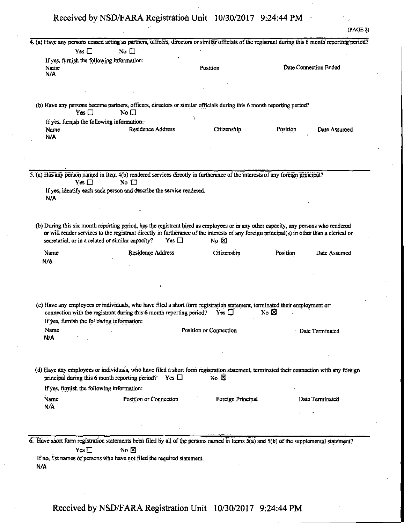(PAGE 2)

|                                                           | 4. (a) Have any persons ceased acting as partners, officers, directors or similar officials of the registrant during this 6 month reporting period?                                                                                                                                                                                                   |                        |          |                       |
|-----------------------------------------------------------|-------------------------------------------------------------------------------------------------------------------------------------------------------------------------------------------------------------------------------------------------------------------------------------------------------------------------------------------------------|------------------------|----------|-----------------------|
| Yes $\square$                                             | No $\square$                                                                                                                                                                                                                                                                                                                                          |                        |          |                       |
| If yes, furnish the following information:<br>Name<br>N/A |                                                                                                                                                                                                                                                                                                                                                       | Position               |          | Date Connection Ended |
|                                                           |                                                                                                                                                                                                                                                                                                                                                       |                        |          |                       |
| Yes $\Box$                                                | (b) Have any persons become partners, officers, directors or similar officials during this 6 month reporting period?<br>No $\square$                                                                                                                                                                                                                  |                        |          |                       |
| If yes, furnish the following information:                |                                                                                                                                                                                                                                                                                                                                                       |                        |          |                       |
| Name                                                      | Residence Address                                                                                                                                                                                                                                                                                                                                     | Citizenship            | Position | Date Assumed          |
| N/A                                                       |                                                                                                                                                                                                                                                                                                                                                       |                        |          |                       |
|                                                           |                                                                                                                                                                                                                                                                                                                                                       |                        |          |                       |
|                                                           |                                                                                                                                                                                                                                                                                                                                                       |                        |          |                       |
|                                                           |                                                                                                                                                                                                                                                                                                                                                       |                        |          |                       |
|                                                           | 5. (a) Has any person named in Item 4(b) rendered services directly in furtherance of the interests of any foreign principal?                                                                                                                                                                                                                         |                        |          |                       |
| Yes $\Box$                                                | No $\Box$                                                                                                                                                                                                                                                                                                                                             |                        |          |                       |
|                                                           | If yes, identify each such person and describe the service rendered.                                                                                                                                                                                                                                                                                  |                        |          |                       |
| N/A                                                       |                                                                                                                                                                                                                                                                                                                                                       |                        |          |                       |
|                                                           |                                                                                                                                                                                                                                                                                                                                                       |                        |          |                       |
|                                                           |                                                                                                                                                                                                                                                                                                                                                       |                        |          |                       |
|                                                           | (b) During this six month reporting period, has the registrant hired as employees or in any other capacity, any persons who rendered<br>or will render services to the registrant directly in furtherance of the interests of any foreign principal(s) in other than a clerical or<br>secretarial, or in a related or similar capacity?<br>Yes $\Box$ | No $\boxtimes$         |          |                       |
|                                                           |                                                                                                                                                                                                                                                                                                                                                       |                        |          |                       |
| Name<br>N/A                                               | Residence Address                                                                                                                                                                                                                                                                                                                                     | Citizenship            | Position | Date Assumed          |
|                                                           | (c) Have any employees or individuals, who have filed a short form registration statement, terminated their employment or                                                                                                                                                                                                                             |                        |          |                       |
|                                                           | connection with the registrant during this 6 month reporting period?                                                                                                                                                                                                                                                                                  | Yes $\Box$             | No ⊠     |                       |
| If yes, furnish the following information:                |                                                                                                                                                                                                                                                                                                                                                       |                        |          |                       |
| Name                                                      |                                                                                                                                                                                                                                                                                                                                                       | Position or Connection |          | Date Terminated       |
| N/A                                                       |                                                                                                                                                                                                                                                                                                                                                       |                        |          |                       |
|                                                           |                                                                                                                                                                                                                                                                                                                                                       |                        |          |                       |
|                                                           |                                                                                                                                                                                                                                                                                                                                                       |                        |          |                       |
|                                                           | (d) Have any employees or individuals, who have filed a short form registration statement, terminated their connection with any foreign<br>principal during this 6 month reporting period? Yes $\Box$                                                                                                                                                 | $No$ $\boxtimes$       |          |                       |
| If yes, furnish the following information:                |                                                                                                                                                                                                                                                                                                                                                       |                        |          |                       |
| Name                                                      | Position or Connection                                                                                                                                                                                                                                                                                                                                | Foreign Principal      |          | Date Terminated       |
| N/A                                                       |                                                                                                                                                                                                                                                                                                                                                       |                        |          |                       |
|                                                           |                                                                                                                                                                                                                                                                                                                                                       |                        |          |                       |
|                                                           |                                                                                                                                                                                                                                                                                                                                                       |                        |          |                       |
| Yes $\square$                                             | 6. Have short form registration statements been filed by all of the persons named in Items 5(a) and 5(b) of the supplemental statement?<br>No $\boxtimes$                                                                                                                                                                                             |                        |          |                       |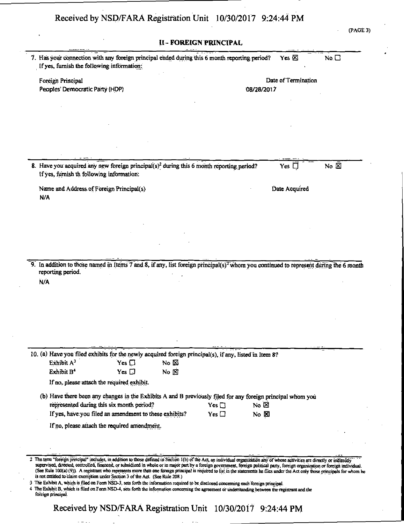(PAGE 3)

| If yes, furnish the following information:   |                                                        | 7. Has your connection with any foreign principal ended during this 6 month reporting period?                                                     |                 | Yes $\boxtimes$     | $No, \Box$                 |
|----------------------------------------------|--------------------------------------------------------|---------------------------------------------------------------------------------------------------------------------------------------------------|-----------------|---------------------|----------------------------|
| Foreign Principal                            |                                                        |                                                                                                                                                   |                 | Date of Termination |                            |
| Peoples' Democratic Party (HDP)              |                                                        |                                                                                                                                                   | 08/28/2017      |                     |                            |
|                                              |                                                        |                                                                                                                                                   |                 |                     |                            |
|                                              |                                                        |                                                                                                                                                   |                 |                     |                            |
|                                              |                                                        |                                                                                                                                                   |                 |                     |                            |
|                                              |                                                        |                                                                                                                                                   |                 |                     |                            |
|                                              |                                                        |                                                                                                                                                   |                 |                     |                            |
|                                              |                                                        |                                                                                                                                                   |                 |                     |                            |
|                                              |                                                        |                                                                                                                                                   |                 |                     |                            |
| If yes, furnish th following information:    |                                                        | 8. Have you acquired any new foreign principal(s) <sup>2</sup> during this 6 month reporting period?                                              |                 | Yes $\Box$          | No $\overline{\mathbb{Z}}$ |
| Name and Address of Foreign Principal(s)     |                                                        |                                                                                                                                                   |                 | Date Acquired       |                            |
| N/A                                          |                                                        |                                                                                                                                                   |                 |                     |                            |
|                                              |                                                        |                                                                                                                                                   |                 |                     |                            |
|                                              |                                                        |                                                                                                                                                   |                 |                     |                            |
|                                              |                                                        |                                                                                                                                                   |                 |                     |                            |
|                                              |                                                        |                                                                                                                                                   |                 |                     |                            |
|                                              |                                                        |                                                                                                                                                   |                 |                     |                            |
| reporting period.<br>N/A                     |                                                        | 9. In addition to those named in Items 7 and 8, if any, list foreign principal(s) <sup>2</sup> whom you continued to represent during the 6 month |                 |                     |                            |
|                                              |                                                        |                                                                                                                                                   |                 |                     |                            |
|                                              |                                                        |                                                                                                                                                   |                 |                     |                            |
|                                              |                                                        | 10. (a) Have you filed exhibits for the newly acquired foreign principal(s), if any, listed in Item 8?                                            |                 |                     |                            |
| Exhibit A <sup>3</sup>                       | $Yes \Box$                                             | No $\boxtimes$                                                                                                                                    |                 |                     |                            |
| Exhibit B <sup>4</sup>                       | Yes $\square$                                          | $No \times$                                                                                                                                       |                 |                     |                            |
| If no, please attach the required exhibit.   |                                                        |                                                                                                                                                   |                 |                     |                            |
|                                              |                                                        | (b) Have there been any changes in the Exhibits A and B previously filed for any foreign principal whom you                                       |                 |                     |                            |
| represented during this six month period?    |                                                        | $Yes \Box$                                                                                                                                        | No $\boxtimes$  |                     |                            |
|                                              | If yes, have you filed an amendment to these exhibits? | Yes $\Box$                                                                                                                                        | No <sub>2</sub> |                     |                            |
| If no, please attach the required amendment. |                                                        |                                                                                                                                                   |                 |                     |                            |
|                                              |                                                        |                                                                                                                                                   |                 |                     |                            |
|                                              |                                                        |                                                                                                                                                   |                 |                     |                            |

4 The Exhibit B, which is filed on Form NSD-4, sets forth the information concerning the agreement or understanding between the registrant and the foreign principal.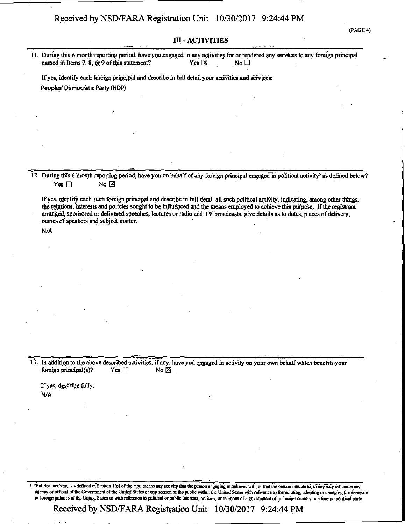#### **III - ACTIVITIES**

11. During this 6 month reporting period, have you engaged in any activities for or rendered any services to any foreign principal named in Items 7, 8, or 9 of this statement? Yes  $\boxtimes$  Yes  $\boxtimes$ 

If yes, identify each foreign principal and describe in full detail your activities, and services: Peoples' Democratic Party (HDP)

12. During this 6 month reporting period, have you on behalf of any foreign principal engaged in political activity<sup>5</sup> as defined below?  $\mathsf{\hat{Y}es} \ \Box$  No  $\boxtimes$ 

If yes, identify each such foreign principal and describe in full detail all such political activity, indicating, among other things, the relations, interests and policies sought to be influenced and the means employed to achieve this purpose. If the registrant arranged, sponsored or delivered speeches, lectures or radio and TV broadcasts, give details as to dates, places of delivery, names of speakers and subject matter.

**N/A** 

13. In addition to the above described activities, if any, have you engaged in activity on your own behalf which benefits your foreign principal(s)? Yes  $\Box$  No  $\boxtimes$ foreign principal(s)? Yes  $\Box$  No  $\boxtimes$ 

If yes, describe fully. N/A

5 "Political activity," as defined in Section 1(o) of the Act, means any activity that the person engaging in believes will, or that the person intends to, in any way influence any agency or official of the Government of the United States or any section of the public within the United States with reference to formulating, adopting or changing the domestic or foreign policies ofthe United States or with reference to political or public interests, policies, or relations of a government of a foreign country or a foreign political party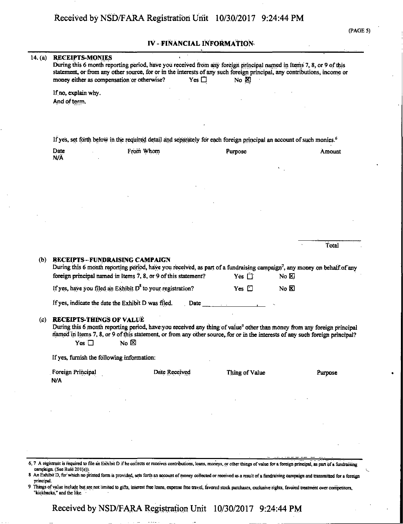#### IV - FINANCIAL INFORMATION'

| 14. (a) | <b>RECEIPTS-MONIES</b><br>During this 6 month reporting period, have you received from any foreign principal named in Items 7, 8, or 9 of this<br>statement, or from any other source, for or in the interests of any such foreign principal, any contributions, income or<br>money either as compensation or otherwise? |                         | Yes $\square$ | $No \times$    |                   |         |
|---------|--------------------------------------------------------------------------------------------------------------------------------------------------------------------------------------------------------------------------------------------------------------------------------------------------------------------------|-------------------------|---------------|----------------|-------------------|---------|
|         | If no, explain why.<br>And of term.                                                                                                                                                                                                                                                                                      |                         |               |                |                   |         |
|         |                                                                                                                                                                                                                                                                                                                          |                         |               |                |                   |         |
|         | If yes, set forth below in the required detail and separately for each foreign principal an account of such monies. <sup>6</sup>                                                                                                                                                                                         |                         |               |                |                   |         |
|         | Date<br>N/A                                                                                                                                                                                                                                                                                                              | From Whom               |               | Purpose        |                   | Amount  |
|         |                                                                                                                                                                                                                                                                                                                          |                         |               |                |                   |         |
|         |                                                                                                                                                                                                                                                                                                                          |                         |               |                |                   |         |
|         |                                                                                                                                                                                                                                                                                                                          |                         |               |                |                   |         |
|         |                                                                                                                                                                                                                                                                                                                          |                         |               |                |                   |         |
|         |                                                                                                                                                                                                                                                                                                                          |                         |               |                |                   |         |
|         |                                                                                                                                                                                                                                                                                                                          |                         |               |                |                   | Total   |
| (b)     | <b>RECEIPTS-FUNDRAISING CAMPAIGN</b><br>During this 6 month reporting period, have you received, as part of a fundraising campaign <sup>7</sup> , any money on behalf of any<br>foreign principal named in Items 7, 8, or 9 of this statement?                                                                           |                         |               | Yes $\Box$     | No $\boxtimes$    |         |
|         | If yes, have you filed an Exhibit D <sup>8</sup> to your registration?                                                                                                                                                                                                                                                   |                         |               | Yes $\Box$     | $N_0$ $\boxtimes$ |         |
|         | If yes, indicate the date the Exhibit D was filed.                                                                                                                                                                                                                                                                       |                         | Date          |                |                   |         |
| (c)     | <b>RECEIPTS-THINGS OF VALUE</b><br>During this 6 month reporting period, have you received any thing of value <sup>9</sup> other than money from any foreign principal<br>named in Items 7, 8, or 9 of this statement, or from any other source, for or in the interests of any such foreign principal?<br>Yes $\square$ | $N_{\rm O}$ $\boxtimes$ |               |                |                   |         |
|         | If yes, furnish the following information:                                                                                                                                                                                                                                                                               |                         |               |                |                   |         |
|         | Foreign Principal                                                                                                                                                                                                                                                                                                        | Date Received           |               | Thing of Value |                   | Purpose |
|         | N/A                                                                                                                                                                                                                                                                                                                      |                         |               |                |                   |         |
|         |                                                                                                                                                                                                                                                                                                                          |                         |               |                |                   |         |
|         |                                                                                                                                                                                                                                                                                                                          |                         |               |                |                   |         |
|         |                                                                                                                                                                                                                                                                                                                          |                         |               |                |                   |         |
|         |                                                                                                                                                                                                                                                                                                                          |                         |               |                |                   |         |

- 8 An Exhibit D, for which no printed form is provided, sets forth an account of money collected or received as a result of a fundraising campaign and transmitted, for a foreign principal.
- 9 Things of value include but are not limited to gifts, interest free loans, expense free travel, favored stock purchases, exclusive rights, favored treatment over corrrpetitors, "kickbacks," and the like.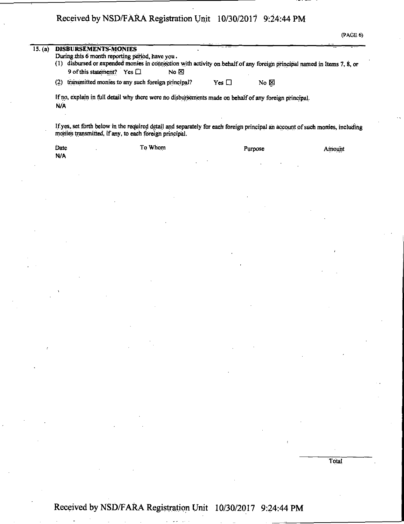| 15. (a) | DISBURSEMENTS-MONIES<br>During this 6 month reporting period, have you.                                                                                       |      |            |                |  |
|---------|---------------------------------------------------------------------------------------------------------------------------------------------------------------|------|------------|----------------|--|
|         | disbursed or expended monies in connection with activity on behalf of any foreign principal named in Items 7, 8, or<br>(1)<br>9 of this statement? Yes $\Box$ | No ⊠ |            |                |  |
|         | transmitted monies to any such foreign principal?<br>(2)                                                                                                      |      | Yes $\Box$ | $N_0$ $\Sigma$ |  |

Ifyes,.set forth below in the required detail and separately for each foreign principal ah account of such monies, mcluding monies transmitted, if any, to each foreign principal.

| Date | To Whom | Purpose | Amount |
|------|---------|---------|--------|
| N/A  |         |         |        |

**Total** 

## **Received by NSD/FARA Registration Unit 10/30/2017 9:24:44 PM**

**i**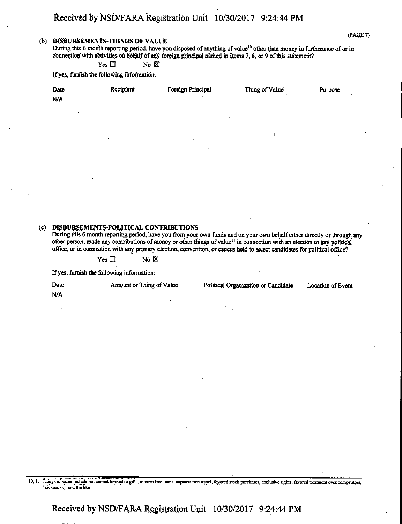#### **(b) DISBURSEMENTS-THINGS OF VALUE**

During this 6 month reporting period, have you disposed of anything of value<sup>10</sup> other than money in furtherance of or in connection with activities on behalf of any foreign, principal named in Items 7, 8, or 9 of this statement?

 $Yes \Box$  No  $\boxtimes$ 

If yes, furnish the following information:

| Date | Recipient | Foreign Principal | Thing of Value | Purpose |
|------|-----------|-------------------|----------------|---------|
| N/A  |           |                   |                |         |

#### **(c) DISBURSEMENTS-POLITICAL CONTRIBUTIONS**

During this 6 month reporting period, have you from your own funds and on your own behalf either directly or through any other person, made any contributions of money or other things of value<sup>11</sup> in connection with an election to any political office, or in connection with any primary election, convention, or caucus held to select candidates for political office?

 $Yes \Box$  No  $\boxtimes$ 

If yes, furnish the following information:

Date Amount or Thing of Value Political Organization or Candidate Location of Event

**N/A** 

10, 11 Things of value include but are not limited to gifts, interest free loans, expense free travel, favored stock purchases, exclusive rights, favored treatment over competitors, "kickbacks," and the like.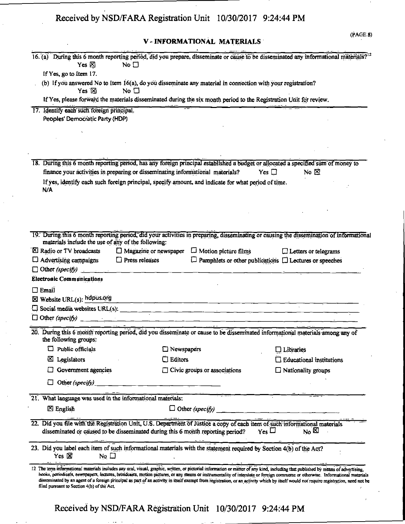### V - INFORMATIONAL MATERIALS

|                                                                              |                     |                                                                                                                                                                                    |                                                                                                                         | 16. (a) During this 6 month reporting period, did you prepare, disseminate or cause to be disseminated any informational materials? <sup>12</sup>                                                                                                                                                                                                                       |
|------------------------------------------------------------------------------|---------------------|------------------------------------------------------------------------------------------------------------------------------------------------------------------------------------|-------------------------------------------------------------------------------------------------------------------------|-------------------------------------------------------------------------------------------------------------------------------------------------------------------------------------------------------------------------------------------------------------------------------------------------------------------------------------------------------------------------|
|                                                                              | Yes $\boxtimes$     | No $\square$                                                                                                                                                                       |                                                                                                                         |                                                                                                                                                                                                                                                                                                                                                                         |
| If Yes, go to Item 17.                                                       |                     |                                                                                                                                                                                    |                                                                                                                         |                                                                                                                                                                                                                                                                                                                                                                         |
|                                                                              |                     | (b) If you answered No to Item 16(a), do you disseminate any material in connection with your registration?                                                                        |                                                                                                                         |                                                                                                                                                                                                                                                                                                                                                                         |
|                                                                              | Yes $\boxtimes$     | No $\square$                                                                                                                                                                       |                                                                                                                         |                                                                                                                                                                                                                                                                                                                                                                         |
|                                                                              |                     | If Yes, please forward the materials disseminated during the six month period to the Registration Unit for review.                                                                 | <u> Andrew American American American American American American American American American American American Ameri</u> |                                                                                                                                                                                                                                                                                                                                                                         |
| 17. Identify each such foreign principal.<br>Peoples' Democratic Party (HDP) |                     |                                                                                                                                                                                    |                                                                                                                         |                                                                                                                                                                                                                                                                                                                                                                         |
|                                                                              |                     |                                                                                                                                                                                    |                                                                                                                         |                                                                                                                                                                                                                                                                                                                                                                         |
|                                                                              |                     |                                                                                                                                                                                    |                                                                                                                         |                                                                                                                                                                                                                                                                                                                                                                         |
|                                                                              |                     |                                                                                                                                                                                    |                                                                                                                         |                                                                                                                                                                                                                                                                                                                                                                         |
|                                                                              |                     |                                                                                                                                                                                    |                                                                                                                         |                                                                                                                                                                                                                                                                                                                                                                         |
|                                                                              |                     |                                                                                                                                                                                    |                                                                                                                         | 18. During this 6 month reporting period, has any foreign principal established a budget or allocated a specified sum of money to                                                                                                                                                                                                                                       |
|                                                                              |                     | finance your activities in preparing or disseminating informational materials?                                                                                                     |                                                                                                                         | No $\Sigma$<br>Yes $\Box$                                                                                                                                                                                                                                                                                                                                               |
|                                                                              |                     | If yes, identify each such foreign principal, specify amount, and indicate for what period of time.                                                                                |                                                                                                                         |                                                                                                                                                                                                                                                                                                                                                                         |
| N/A                                                                          |                     |                                                                                                                                                                                    |                                                                                                                         |                                                                                                                                                                                                                                                                                                                                                                         |
|                                                                              |                     |                                                                                                                                                                                    |                                                                                                                         |                                                                                                                                                                                                                                                                                                                                                                         |
|                                                                              |                     |                                                                                                                                                                                    |                                                                                                                         |                                                                                                                                                                                                                                                                                                                                                                         |
|                                                                              |                     |                                                                                                                                                                                    |                                                                                                                         |                                                                                                                                                                                                                                                                                                                                                                         |
|                                                                              |                     |                                                                                                                                                                                    |                                                                                                                         | 19. During this 6 month reporting period, did your activities in preparing, disseminating or causing the dissemination of informational                                                                                                                                                                                                                                 |
|                                                                              |                     | materials include the use of any of the following:                                                                                                                                 |                                                                                                                         |                                                                                                                                                                                                                                                                                                                                                                         |
| X Radio or TV broadcasts                                                     |                     | $\Box$ Magazine or newspaper $\Box$ Motion picture films                                                                                                                           |                                                                                                                         | $\Box$ Letters or telegrams                                                                                                                                                                                                                                                                                                                                             |
| $\Box$ Advertising campaigns                                                 |                     | $\Box$ Press releases                                                                                                                                                              |                                                                                                                         | $\Box$ Pamphlets or other publications $\Box$ Lectures or speeches                                                                                                                                                                                                                                                                                                      |
|                                                                              |                     | $\Box$ Other (specify)                                                                                                                                                             |                                                                                                                         |                                                                                                                                                                                                                                                                                                                                                                         |
| <b>Electronic Communications</b>                                             |                     |                                                                                                                                                                                    |                                                                                                                         |                                                                                                                                                                                                                                                                                                                                                                         |
| $\Box$ Email                                                                 |                     |                                                                                                                                                                                    |                                                                                                                         |                                                                                                                                                                                                                                                                                                                                                                         |
| $\boxtimes$ Website URL(s): hdpus.org                                        |                     |                                                                                                                                                                                    |                                                                                                                         |                                                                                                                                                                                                                                                                                                                                                                         |
|                                                                              |                     | Social media websites URL(s):                                                                                                                                                      |                                                                                                                         |                                                                                                                                                                                                                                                                                                                                                                         |
|                                                                              |                     |                                                                                                                                                                                    |                                                                                                                         |                                                                                                                                                                                                                                                                                                                                                                         |
|                                                                              |                     |                                                                                                                                                                                    |                                                                                                                         | 20. During this 6 month reporting period, did you disseminate or cause to be disseminated informational materials among any of<br>ана 19 <u>19 година.</u><br>Население                                                                                                                                                                                                 |
| the following groups:                                                        |                     |                                                                                                                                                                                    |                                                                                                                         |                                                                                                                                                                                                                                                                                                                                                                         |
| $\Box$ Public officials                                                      |                     | □ Newspapers                                                                                                                                                                       |                                                                                                                         | $\square$ Libraries                                                                                                                                                                                                                                                                                                                                                     |
| ⊠<br>Legislators                                                             |                     | $\square$ Editors                                                                                                                                                                  |                                                                                                                         | $\Box$ Educational institutions                                                                                                                                                                                                                                                                                                                                         |
|                                                                              | Government agencies |                                                                                                                                                                                    | $\Box$ Civic groups or associations                                                                                     | $\Box$ Nationality groups                                                                                                                                                                                                                                                                                                                                               |
|                                                                              |                     |                                                                                                                                                                                    |                                                                                                                         |                                                                                                                                                                                                                                                                                                                                                                         |
| Other (specify)                                                              |                     |                                                                                                                                                                                    |                                                                                                                         |                                                                                                                                                                                                                                                                                                                                                                         |
|                                                                              |                     | 21. What language was used in the informational materials:                                                                                                                         |                                                                                                                         |                                                                                                                                                                                                                                                                                                                                                                         |
| $\boxtimes$ English                                                          |                     |                                                                                                                                                                                    | $\Box$ Other (specify)                                                                                                  | <u> 1970 - Jan Barbarat, manala</u>                                                                                                                                                                                                                                                                                                                                     |
|                                                                              |                     |                                                                                                                                                                                    |                                                                                                                         |                                                                                                                                                                                                                                                                                                                                                                         |
|                                                                              |                     |                                                                                                                                                                                    |                                                                                                                         | 22. Did you file with the Registration Unit, U.S. Department of Justice a copy of each item of such informational materials                                                                                                                                                                                                                                             |
|                                                                              |                     | disseminated or caused to be disseminated during this 6 month reporting period?                                                                                                    |                                                                                                                         | $\gamma$ es $\Box$<br>$N0$ $\boxtimes$                                                                                                                                                                                                                                                                                                                                  |
|                                                                              |                     | 23. Did you label each item of such informational materials with the statement required by Section 4(b) of the Act?                                                                |                                                                                                                         |                                                                                                                                                                                                                                                                                                                                                                         |
| Yes $\boxtimes$                                                              | No $\square$        |                                                                                                                                                                                    |                                                                                                                         |                                                                                                                                                                                                                                                                                                                                                                         |
|                                                                              |                     |                                                                                                                                                                                    |                                                                                                                         |                                                                                                                                                                                                                                                                                                                                                                         |
|                                                                              |                     |                                                                                                                                                                                    |                                                                                                                         |                                                                                                                                                                                                                                                                                                                                                                         |
|                                                                              |                     | 12 The term informational materials includes any oral, visual, graphic, written, or pictorial information or matter of any kind, including that published by means of advertising, |                                                                                                                         |                                                                                                                                                                                                                                                                                                                                                                         |
| filed pursuant to Section 4(b) of the Act.                                   |                     |                                                                                                                                                                                    |                                                                                                                         | books, periodicals, newspapers, lectures, broadcasts, motion pictures, or any means or instrumentality of interstate or foreign commetre or otherwise. Informational materials<br>disseminated by an agent of a foreign principal as part of an activity in itself exempt from registration, or an activity which by itself would not require registration, need not be |
|                                                                              |                     |                                                                                                                                                                                    |                                                                                                                         |                                                                                                                                                                                                                                                                                                                                                                         |

Received by NSD/FARA Registration Unit 10/30/2017 9:24:44 PM

state of the control of the control of the control of the

والمحادثان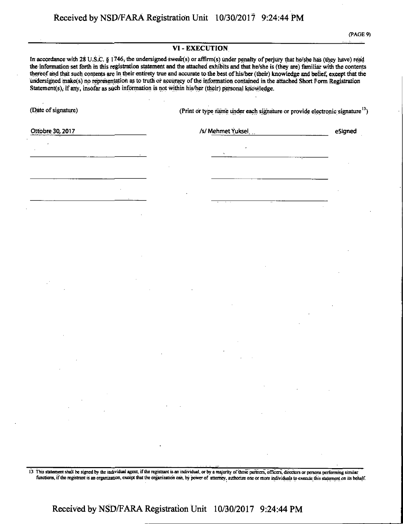|                                                                                                                                                                                                                                                                                                                                                                                                                                                                                                                                                                                                                                                                                 | VI - EXECUTION |                                                                                          |  |         |  |  |  |
|---------------------------------------------------------------------------------------------------------------------------------------------------------------------------------------------------------------------------------------------------------------------------------------------------------------------------------------------------------------------------------------------------------------------------------------------------------------------------------------------------------------------------------------------------------------------------------------------------------------------------------------------------------------------------------|----------------|------------------------------------------------------------------------------------------|--|---------|--|--|--|
| In accordance with 28 U.S.C. § 1746, the undersigned swear(s) or affirm(s) under penalty of perjury that he/she has (they have) read<br>the information set forth in this registration statement and the attached exhibits and that he/she is (they are) familiar with the contents<br>thereof and that such contents are in their entirety true and accurate to the best of his/her (their) knowledge and belief, except that the<br>undersigned make(s) no representation as to truth or accuracy of the information contained in the attached Short Form Registration<br>Statement(s), if any, insofar as such information is not within his/her (their) personal knowledge. |                |                                                                                          |  |         |  |  |  |
| (Date of signature)                                                                                                                                                                                                                                                                                                                                                                                                                                                                                                                                                                                                                                                             |                | (Print or type name under each signature or provide electronic signature <sup>13</sup> ) |  |         |  |  |  |
| Ottobre 30, 2017                                                                                                                                                                                                                                                                                                                                                                                                                                                                                                                                                                                                                                                                |                | /s/ Mehmet Yuksel                                                                        |  | eSigned |  |  |  |
|                                                                                                                                                                                                                                                                                                                                                                                                                                                                                                                                                                                                                                                                                 |                |                                                                                          |  |         |  |  |  |
|                                                                                                                                                                                                                                                                                                                                                                                                                                                                                                                                                                                                                                                                                 |                |                                                                                          |  |         |  |  |  |
|                                                                                                                                                                                                                                                                                                                                                                                                                                                                                                                                                                                                                                                                                 |                |                                                                                          |  |         |  |  |  |
|                                                                                                                                                                                                                                                                                                                                                                                                                                                                                                                                                                                                                                                                                 |                |                                                                                          |  |         |  |  |  |
|                                                                                                                                                                                                                                                                                                                                                                                                                                                                                                                                                                                                                                                                                 |                |                                                                                          |  |         |  |  |  |
|                                                                                                                                                                                                                                                                                                                                                                                                                                                                                                                                                                                                                                                                                 |                |                                                                                          |  |         |  |  |  |
|                                                                                                                                                                                                                                                                                                                                                                                                                                                                                                                                                                                                                                                                                 |                |                                                                                          |  |         |  |  |  |
|                                                                                                                                                                                                                                                                                                                                                                                                                                                                                                                                                                                                                                                                                 |                |                                                                                          |  |         |  |  |  |
|                                                                                                                                                                                                                                                                                                                                                                                                                                                                                                                                                                                                                                                                                 |                |                                                                                          |  |         |  |  |  |
|                                                                                                                                                                                                                                                                                                                                                                                                                                                                                                                                                                                                                                                                                 |                |                                                                                          |  |         |  |  |  |
|                                                                                                                                                                                                                                                                                                                                                                                                                                                                                                                                                                                                                                                                                 |                |                                                                                          |  |         |  |  |  |
|                                                                                                                                                                                                                                                                                                                                                                                                                                                                                                                                                                                                                                                                                 |                |                                                                                          |  |         |  |  |  |
|                                                                                                                                                                                                                                                                                                                                                                                                                                                                                                                                                                                                                                                                                 |                |                                                                                          |  |         |  |  |  |
| $\sim$                                                                                                                                                                                                                                                                                                                                                                                                                                                                                                                                                                                                                                                                          |                |                                                                                          |  |         |  |  |  |
| <b>Contractor</b>                                                                                                                                                                                                                                                                                                                                                                                                                                                                                                                                                                                                                                                               |                |                                                                                          |  |         |  |  |  |
|                                                                                                                                                                                                                                                                                                                                                                                                                                                                                                                                                                                                                                                                                 |                |                                                                                          |  |         |  |  |  |

13 This statement shall be signed by the individual agent, if the registrant is an individual, or by a majority of those partners, officers, directors or persons performing similar functions, if the registrant is an organization, except that the organization can, by power of attorney, authorize one or more individuals to execute this statement on its behalf.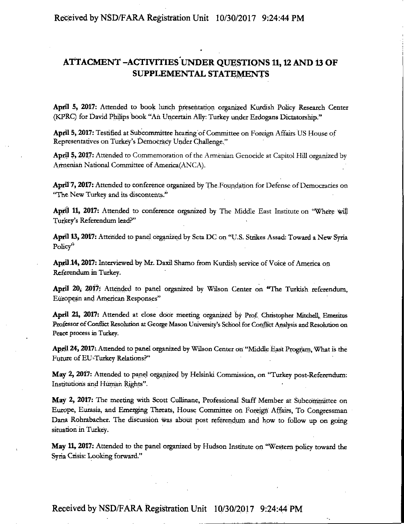### **ATTACMENT -ACTIVITIES UNDER QUESTIONS 11,12 AND 13 OF SUPPLEMENTAL STATEMENTS**

April 5, 2017: Attended to book lunch presentation organized Kurdish Policy Research Center (KPRC) for David Philips book "Ah Uncertain Ally: Turkey under Erdogans Dictatorship."

April 5, 2017: Testified at Subcommittee hearing of Committee on Foreign Affairs US House of Representatives on Turkey's Democracy Under Challenge."

April 5, 2017: Attended to Commemoration of the Armenian Genocide at Capitol Hill organized by Armenian National Committee of America(ANCA).

April 7, 2017: Attended to conference organized by The Foundation for Defense of Democracies on "The New Turkey and its discontents."

April 11, 2017: Attended to conference organized by The Middle East Institute oh "Where will Turkey's Referendum lead?"

April 13,2017: Attended to panel organized by Seta DC on "U.S. Strikes Assad: Toward a New Syria Policy"

April 14, 2017: Interviewed by Mr. DaxU Shamo from Kurdish service of Voice of America on Referendum in Turkey.

April 20, 2017: Attended to panel organized by Wilson Center on "The Turkish referendum, European and American Responses"

April 21, 2017: Attended at close door meeting organized by Prof. Christopher Mitchell, Emeritus Professor of Conflict Resolution at George Mason University's School for Conflict Analysis and Resolution on Peace process in Turkey.

April 24, 2017: Attended to panel organized by Wilson Center on "Middle East Program, What is the Future of EU-Turkey Relations?"

May 2, 2017: Attended to panel organized by Helsinki Commission, on "Turkey post-Referendum: Institutions and Human Rights".

May 2, 2017: The meeting with Scott Cullinane, Professional Staff Member at Subcommittee on Europe, Eurasia, and Emerging Threats, House Committee on Foreign Affairs, To Congressman Dana Rohrabacher. The discussion was about post referendurn and how to follow up on going situation in Turkey.

May 11, 2017: Attended to the panel organized by Hudson Institute on "Western policy toward the Syria Crisis: Looking forward."